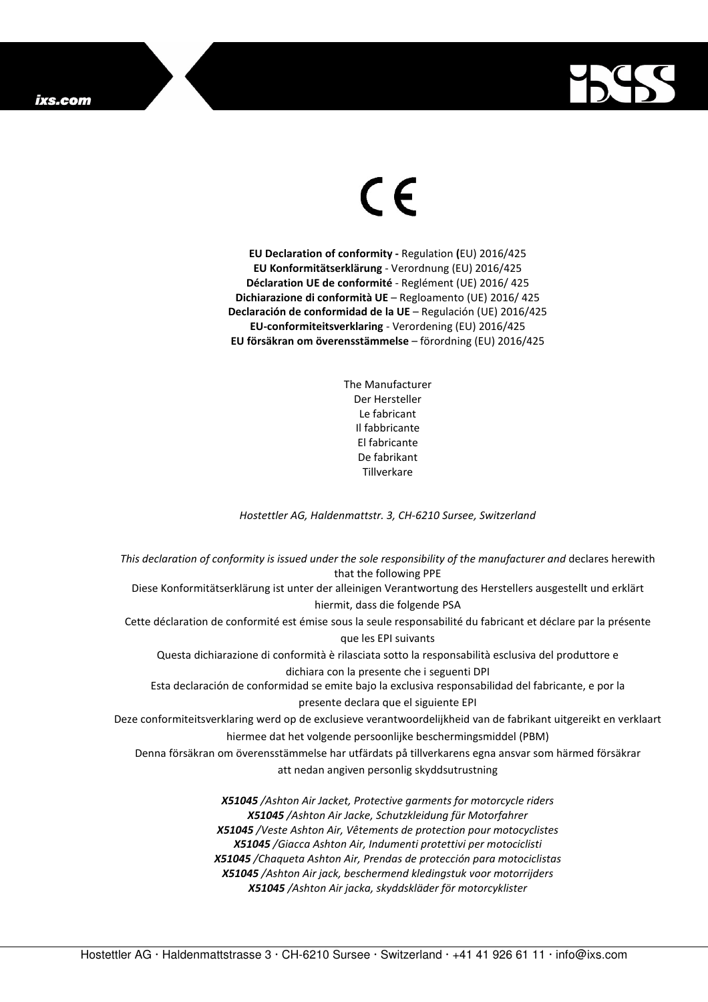## ixs.com



## $\in$   $\epsilon$

**EU Declaration of conformity -** Regulation **(**EU) 2016/425 **EU Konformitätserklärung** - Verordnung (EU) 2016/425 **Déclaration UE de conformité** - Reglément (UE) 2016/ 425 **Dichiarazione di conformità UE** – Regloamento (UE) 2016/ 425 **Declaración de conformidad de la UE** – Regulación (UE) 2016/425 **EU-conformiteitsverklaring** - Verordening (EU) 2016/425 **EU försäkran om överensstämmelse** – förordning (EU) 2016/425

> The Manufacturer Der Hersteller Le fabricant Il fabbricante El fabricante De fabrikant **Tillverkare**

*Hostettler AG, Haldenmattstr. 3, CH-6210 Sursee, Switzerland* 

*This declaration of conformity is issued under the sole responsibility of the manufacturer and* declares herewith that the following PPE Diese Konformitätserklärung ist unter der alleinigen Verantwortung des Herstellers ausgestellt und erklärt hiermit, dass die folgende PSA Cette déclaration de conformité est émise sous la seule responsabilité du fabricant et déclare par la présente que les EPI suivants Questa dichiarazione di conformità è rilasciata sotto la responsabilità esclusiva del produttore e dichiara con la presente che i seguenti DPI Esta declaración de conformidad se emite bajo la exclusiva responsabilidad del fabricante, e por la presente declara que el siguiente EPI Deze conformiteitsverklaring werd op de exclusieve verantwoordelijkheid van de fabrikant uitgereikt en verklaart hiermee dat het volgende persoonlijke beschermingsmiddel (PBM) Denna försäkran om överensstämmelse har utfärdats på tillverkarens egna ansvar som härmed försäkrar att nedan angiven personlig skyddsutrustning *X51045 /Ashton Air Jacket, Protective garments for motorcycle riders X51045 /Ashton Air Jacke, Schutzkleidung für Motorfahrer X51045 /Veste Ashton Air, Vêtements de protection pour motocyclistes X51045 /Giacca Ashton Air, Indumenti protettivi per motociclisti X51045 /Chaqueta Ashton Air, Prendas de protección para motociclistas* 

*X51045 /Ashton Air jack, beschermend kledingstuk voor motorrijders X51045 /Ashton Air jacka, skyddskläder för motorcyklister*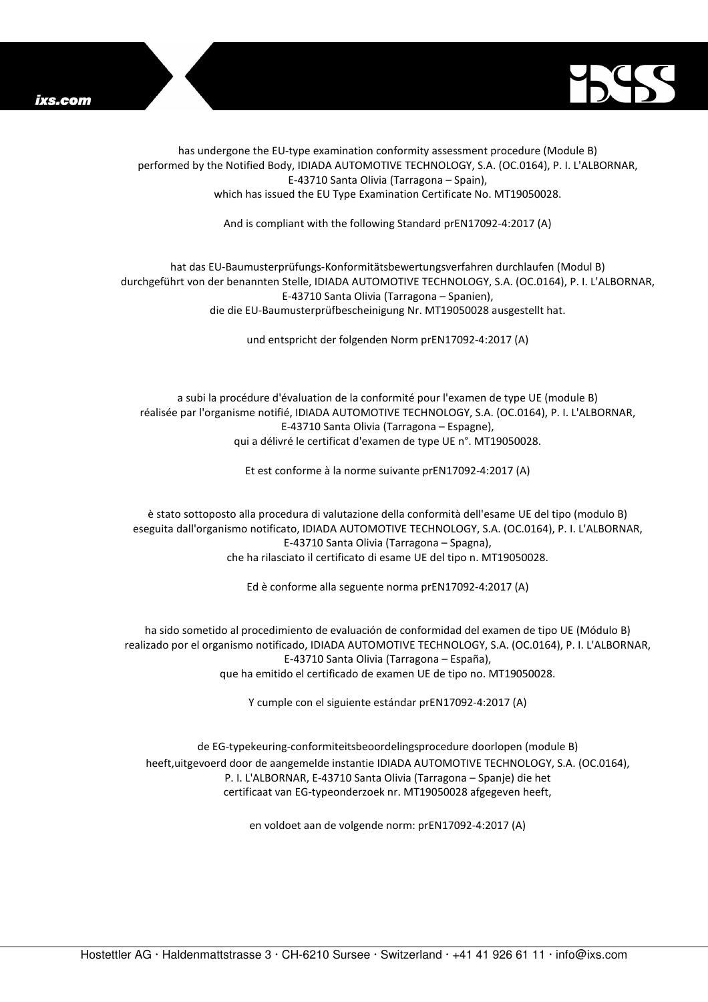



has undergone the EU-type examination conformity assessment procedure (Module B) performed by the Notified Body, IDIADA AUTOMOTIVE TECHNOLOGY, S.A. (OC.0164), P. I. L'ALBORNAR, E-43710 Santa Olivia (Tarragona – Spain), which has issued the EU Type Examination Certificate No. MT19050028.

And is compliant with the following Standard prEN17092-4:2017 (A)

## hat das EU-Baumusterprüfungs-Konformitätsbewertungsverfahren durchlaufen (Modul B) durchgeführt von der benannten Stelle, IDIADA AUTOMOTIVE TECHNOLOGY, S.A. (OC.0164), P. I. L'ALBORNAR, E-43710 Santa Olivia (Tarragona – Spanien), die die EU-Baumusterprüfbescheinigung Nr. MT19050028 ausgestellt hat.

und entspricht der folgenden Norm prEN17092-4:2017 (A)

a subi la procédure d'évaluation de la conformité pour l'examen de type UE (module B) réalisée par l'organisme notifié, IDIADA AUTOMOTIVE TECHNOLOGY, S.A. (OC.0164), P. I. L'ALBORNAR, E-43710 Santa Olivia (Tarragona – Espagne), qui a délivré le certificat d'examen de type UE n°. MT19050028.

Et est conforme à la norme suivante prEN17092-4:2017 (A)

è stato sottoposto alla procedura di valutazione della conformità dell'esame UE del tipo (modulo B) eseguita dall'organismo notificato, IDIADA AUTOMOTIVE TECHNOLOGY, S.A. (OC.0164), P. I. L'ALBORNAR, E-43710 Santa Olivia (Tarragona – Spagna), che ha rilasciato il certificato di esame UE del tipo n. MT19050028.

Ed è conforme alla seguente norma prEN17092-4:2017 (A)

ha sido sometido al procedimiento de evaluación de conformidad del examen de tipo UE (Módulo B) realizado por el organismo notificado, IDIADA AUTOMOTIVE TECHNOLOGY, S.A. (OC.0164), P. I. L'ALBORNAR, E-43710 Santa Olivia (Tarragona – España), que ha emitido el certificado de examen UE de tipo no. MT19050028.

Y cumple con el siguiente estándar prEN17092-4:2017 (A)

de EG-typekeuring-conformiteitsbeoordelingsprocedure doorlopen (module B) heeft,uitgevoerd door de aangemelde instantie IDIADA AUTOMOTIVE TECHNOLOGY, S.A. (OC.0164), P. I. L'ALBORNAR, E-43710 Santa Olivia (Tarragona – Spanje) die het certificaat van EG-typeonderzoek nr. MT19050028 afgegeven heeft,

en voldoet aan de volgende norm: prEN17092-4:2017 (A)